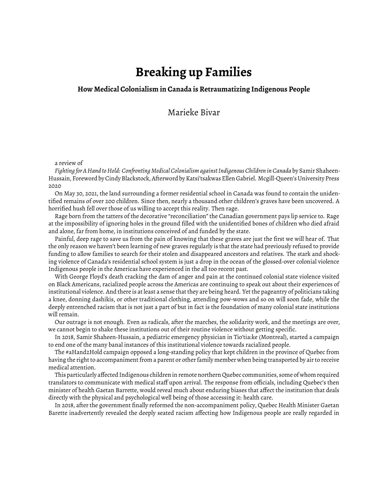## **Breaking up Families**

## **How Medical Colonialism in Canada is Retraumatizing Indigenous People**

Marieke Bivar

a review of

*Fighting for A Hand to Hold: Confronting Medical Colonialism against Indigenous Children in Canada* by Samir Shaheen-Hussain, Foreword by Cindy Blackstock, Afterword by Katsi'tsakwas Ellen Gabriel. Mcgill-Queen's University Press 2020

On May 30, 2021, the land surrounding a former residential school in Canada was found to contain the unidentified remains of over 200 children. Since then, nearly a thousand other children's graves have been uncovered. A horrified hush fell over those of us willing to accept this reality. Then rage.

Rage born from the tatters of the decorative "reconciliation" the Canadian government pays lip service to. Rage at the impossibility of ignoring holes in the ground filled with the unidentified bones of children who died afraid and alone, far from home, in institutions conceived of and funded by the state.

Painful, deep rage to save us from the pain of knowing that these graves are just the first we will hear of. That the only reason we haven't been learning of new graves regularly is that the state had previously refused to provide funding to allow families to search for their stolen and disappeared ancestors and relatives. The stark and shocking violence of Canada's residential school system is just a drop in the ocean of the glossed-over colonial violence Indigenous people in the Americas have experienced in the all too recent past.

With George Floyd's death cracking the dam of anger and pain at the continued colonial state violence visited on Black Americans, racialized people across the Americas are continuing to speak out about their experiences of institutional violence. And there is at least a sense that they are being heard. Yet the pageantry of politicians taking a knee, donning dashikis, or other traditional clothing, attending pow-wows and so on will soon fade, while the deeply entrenched racism that is not just a part of but in fact is the foundation of many colonial state institutions will remain.

Our outrage is not enough. Even as radicals, after the marches, the solidarity work, and the meetings are over, we cannot begin to shake these institutions out of their routine violence without getting specific.

In 2018, Samir Shaheen-Hussain, a pediatric emergency physician in Tio'tia:ke (Montreal), started a campaign to end one of the many banal instances of this institutional violence towards racialized people.

The #aHand2Hold campaign opposed a long-standing policy that kept children in the province of Quebec from having the right to accompaniment from a parent or other family member when being transported by air to receive medical attention.

This particularly affected Indigenous children in remote northern Quebec communities, some of whom required translators to communicate with medical staff upon arrival. The response from officials, including Quebec's then minister of health Gaetan Barrette, would reveal much about enduring biases that affect the institution that deals directly with the physical and psychological well being of those accessing it: health care.

In 2018, after the government finally reformed the non-accompaniment policy, Quebec Health Minister Gaetan Barette inadvertently revealed the deeply seated racism affecting how Indigenous people are really regarded in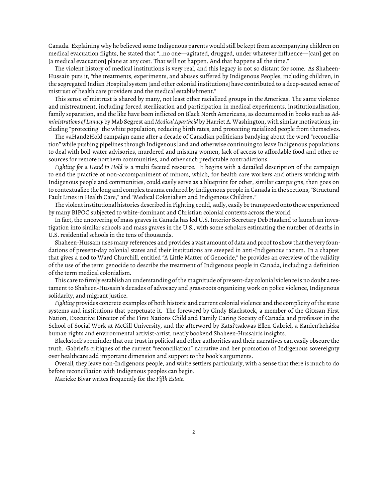Canada. Explaining why he believed some Indigenous parents would still be kept from accompanying children on medical evacuation flights, he stated that "…no one—agitated, drugged, under whatever influence—[can] get on [a medical evacuation] plane at any cost. That will not happen. And that happens all the time."

The violent history of medical institutions is very real, and this legacy is not so distant for some. As Shaheen-Hussain puts it, "the treatments, experiments, and abuses suffered by Indigenous Peoples, including children, in the segregated Indian Hospital system [and other colonial institutions] have contributed to a deep-seated sense of mistrust of health care providers and the medical establishment."

This sense of mistrust is shared by many, not least other racialized groups in the Americas. The same violence and mistreatment, including forced sterilization and participation in medical experiments, institutionalization, family separation, and the like have been inflicted on Black North Americans, as documented in books such as *Administrations of Lunacy* by Mab Segrest and *Medical Apartheid* by Harriet A. Washington, with similar motivations, including "protecting" the white population, reducing birth rates, and protecting racialized people from themselves.

The #aHand2Hold campaign came after a decade of Canadian politicians bandying about the word "reconciliation" while pushing pipelines through Indigenous land and otherwise continuing to leave Indigenous populations to deal with boil-water advisories, murdered and missing women, lack of access to affordable food and other resources for remote northern communities, and other such predictable contradictions.

*Fighting for a Hand to Hold* is a multi faceted resource. It begins with a detailed description of the campaign to end the practice of non-accompaniment of minors, which, for health care workers and others working with Indigenous people and communities, could easily serve as a blueprint for other, similar campaigns, then goes on to contextualize the long and complex trauma endured by Indigenous people in Canada in the sections, "Structural Fault Lines in Health Care," and "Medical Colonialism and Indigenous Children."

The violent institutional histories described in Fighting could, sadly, easily be transposed onto those experienced by many BIPOC subjected to white-dominant and Christian colonial contexts across the world.

In fact, the uncovering of mass graves in Canada has led U.S. Interior Secretary Deb Haaland to launch an investigation into similar schools and mass graves in the U.S., with some scholars estimating the number of deaths in U.S. residential schools in the tens of thousands.

Shaheen-Hussain uses many references and provides a vast amount of data and proof to show that the very foundations of present-day colonial states and their institutions are steeped in anti-Indigenous racism. In a chapter that gives a nod to Ward Churchill, entitled "A Little Matter of Genocide," he provides an overview of the validity of the use of the term genocide to describe the treatment of Indigenous people in Canada, including a definition of the term medical colonialism.

This care to firmly establish an understanding of the magnitude of present-day colonial violence is no doubt a testament to Shaheen-Hussain's decades of advocacy and grassroots organizing work on police violence, Indigenous solidarity, and migrant justice.

*Fighting* provides concrete examples of both historic and current colonial violence and the complicity of the state systems and institutions that perpetuate it. The foreword by Cindy Blackstock, a member of the Gitxsan First Nation, Executive Director of the First Nations Child and Family Caring Society of Canada and professor in the School of Social Work at McGill University, and the afterword by Katsi'tsakwas Ellen Gabriel, a Kanien'kehá:ka human rights and environmental activist-artist, neatly bookend Shaheen-Hussairis insights.

Blackstock's reminder that our trust in political and other authorities and their narratives can easily obscure the truth. Gabriel's critiques of the current "reconciliation" narrative and her promotion of Indigenous sovereignty over healthcare add important dimension and support to the book's arguments.

Overall, they leave non-Indigenous people, and white settlers particularly, with a sense that there is much to do before reconciliation with Indigenous peoples can begin.

Marieke Bivar writes frequently for the *Fifth Estate.*